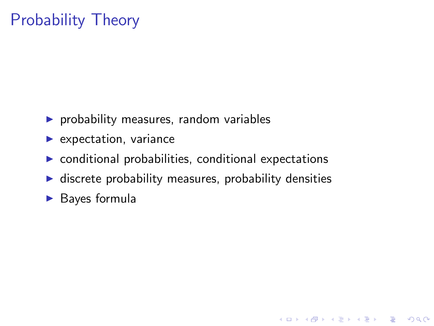# Probability Theory

- $\blacktriangleright$  probability measures, random variables
- $\blacktriangleright$  expectation, variance
- $\triangleright$  conditional probabilities, conditional expectations
- $\blacktriangleright$  discrete probability measures, probability densities

**KORK SERVER SHOPE** 

 $\blacktriangleright$  Bayes formula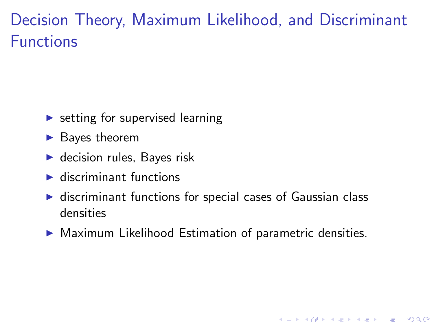## Decision Theory, Maximum Likelihood, and Discriminant Functions

- $\triangleright$  setting for supervised learning
- $\blacktriangleright$  Bayes theorem
- $\blacktriangleright$  decision rules, Bayes risk
- $\blacktriangleright$  discriminant functions
- $\triangleright$  discriminant functions for special cases of Gaussian class densities
- $\triangleright$  Maximum Likelihood Estimation of parametric densities.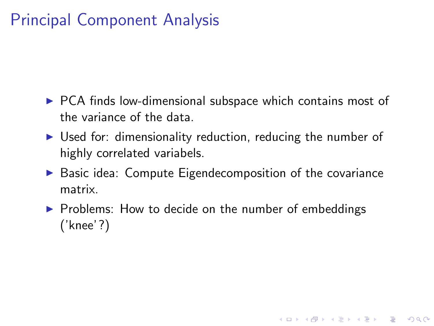## Principal Component Analysis

- $\triangleright$  PCA finds low-dimensional subspace which contains most of the variance of the data.
- $\triangleright$  Used for: dimensionality reduction, reducing the number of highly correlated variabels.
- $\triangleright$  Basic idea: Compute Eigendecomposition of the covariance matrix.

**KORK ERKER ADE YOUR** 

 $\triangleright$  Problems: How to decide on the number of embeddings ('knee'?)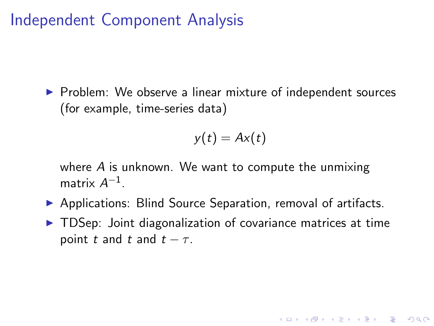#### Independent Component Analysis

 $\triangleright$  Problem: We observe a linear mixture of independent sources (for example, time-series data)

$$
y(t)=Ax(t)
$$

where  $\overline{A}$  is unknown. We want to compute the unmixing matrix  $A^{-1}$ .

- ▶ Applications: Blind Source Separation, removal of artifacts.
- $\triangleright$  TDSep: Joint diagonalization of covariance matrices at time point t and t and  $t - \tau$ .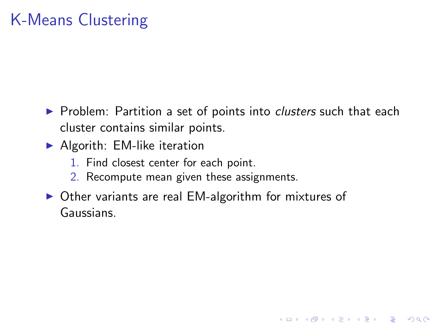## K-Means Clustering

▶ Problem: Partition a set of points into *clusters* such that each cluster contains similar points.

- $\blacktriangleright$  Algorith: EM-like iteration
	- 1. Find closest center for each point.
	- 2. Recompute mean given these assignments.
- $\triangleright$  Other variants are real EM-algorithm for mixtures of Gaussians.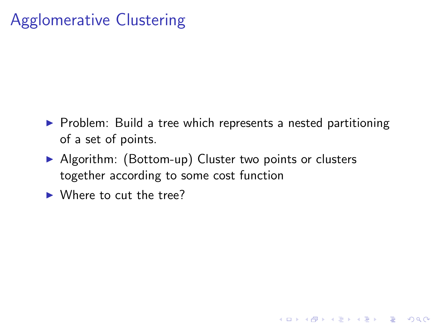### Agglomerative Clustering

 $\triangleright$  Problem: Build a tree which represents a nested partitioning of a set of points.

K ロ ▶ K @ ▶ K 할 > K 할 > 1 할 > 1 이익어

- ▶ Algorithm: (Bottom-up) Cluster two points or clusters together according to some cost function
- $\blacktriangleright$  Where to cut the tree?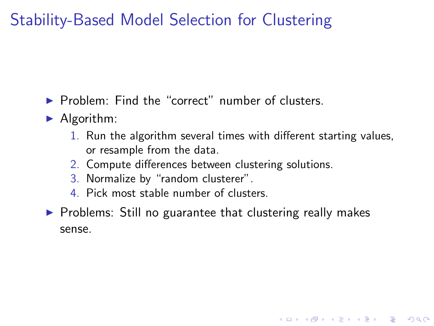### Stability-Based Model Selection for Clustering

- $\blacktriangleright$  Problem: Find the "correct" number of clusters.
- $\blacktriangleright$  Algorithm:
	- 1. Run the algorithm several times with different starting values, or resample from the data.

- 2. Compute differences between clustering solutions.
- 3. Normalize by "random clusterer".
- 4. Pick most stable number of clusters.
- $\triangleright$  Problems: Still no guarantee that clustering really makes sense.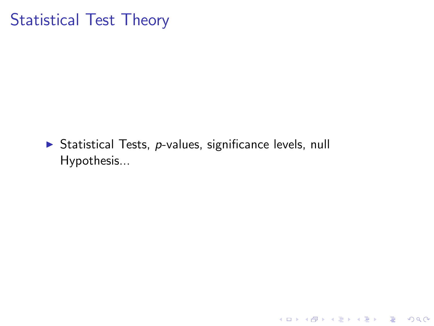#### Statistical Test Theory

 $\triangleright$  Statistical Tests, *p*-values, significance levels, null Hypothesis...

K ロ ▶ K @ ▶ K 할 ▶ K 할 ▶ | 할 | ⊙Q @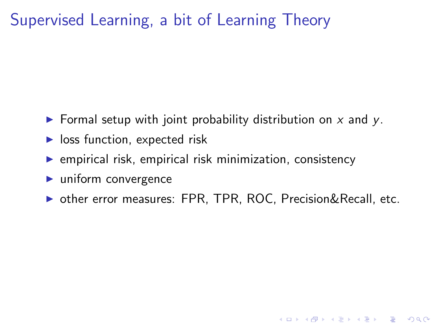### Supervised Learning, a bit of Learning Theory

- $\triangleright$  Formal setup with joint probability distribution on x and y.
- $\blacktriangleright$  loss function, expected risk
- $\triangleright$  empirical risk, empirical risk minimization, consistency
- $\blacktriangleright$  uniform convergence
- ▶ other error measures: FPR, TPR, ROC, Precision&Recall, etc.

**KORK SERVER SHOPE**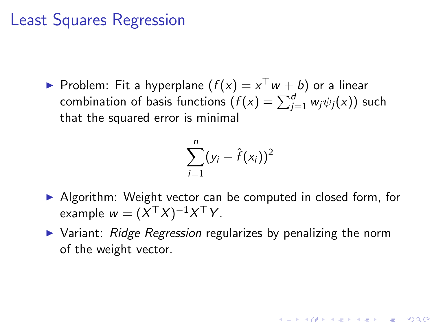#### Least Squares Regression

 $\blacktriangleright$  Problem: Fit a hyperplane  $(f(x) = x^\top w + b)$  or a linear combination of basis functions  $(f(\mathsf{x})=\sum_{j=1}^{d} w_j \psi_j(\mathsf{x}))$  such that the squared error is minimal

$$
\sum_{i=1}^n (y_i - \hat{f}(x_i))^2
$$

- $\triangleright$  Algorithm: Weight vector can be computed in closed form, for example  $w=(X^\top X)^{-1}X^\top Y$ .
- $\triangleright$  Variant: Ridge Regression regularizes by penalizing the norm of the weight vector.

**KORKAR KERKER E VOOR**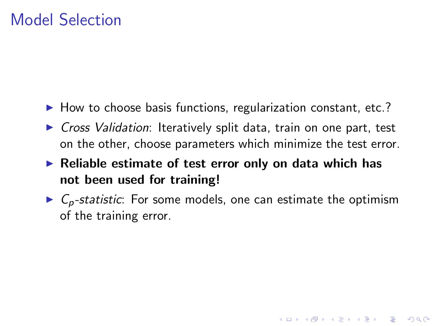#### Model Selection

- $\blacktriangleright$  How to choose basis functions, regularization constant, etc.?
- $\triangleright$  Cross Validation: Iteratively split data, train on one part, test on the other, choose parameters which minimize the test error.
- $\blacktriangleright$  Reliable estimate of test error only on data which has not been used for training!
- $\triangleright$   $C_p$ -statistic: For some models, one can estimate the optimism of the training error.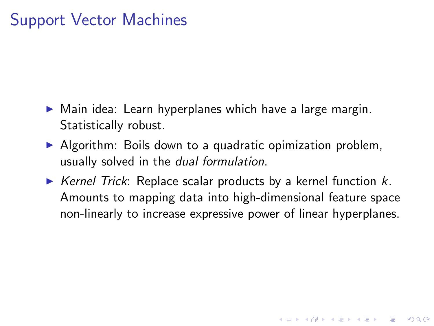### Support Vector Machines

- $\triangleright$  Main idea: Learn hyperplanes which have a large margin. Statistically robust.
- $\triangleright$  Algorithm: Boils down to a quadratic opimization problem, usually solved in the dual formulation.
- $\triangleright$  Kernel Trick: Replace scalar products by a kernel function k. Amounts to mapping data into high-dimensional feature space non-linearly to increase expressive power of linear hyperplanes.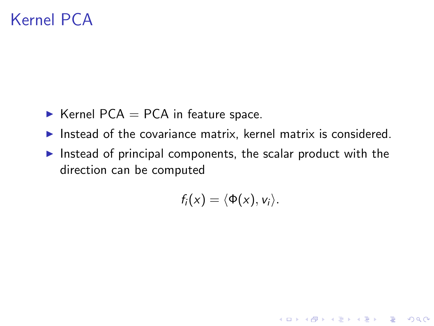### Kernel PCA

- $\blacktriangleright$  Kernel PCA = PCA in feature space.
- Instead of the covariance matrix, kernel matrix is considered.
- Instead of principal components, the scalar product with the direction can be computed

$$
f_i(x)=\langle \Phi(x), v_i\rangle.
$$

K ロ ▶ K @ ▶ K 할 > K 할 > 1 할 > 1 이익어